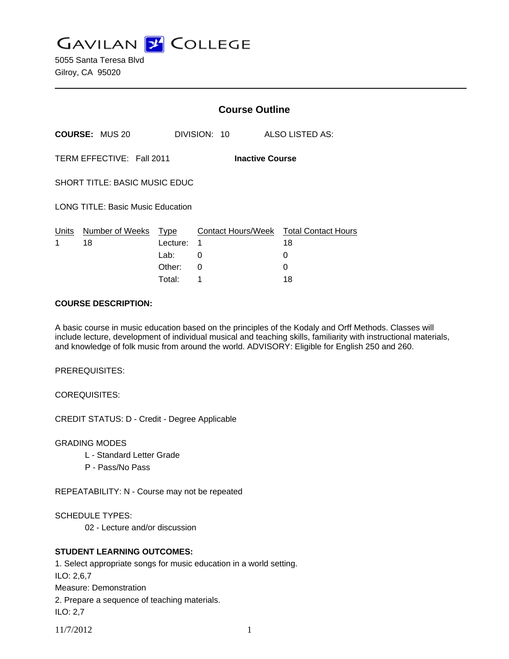**GAVILAN J COLLEGE** 

5055 Santa Teresa Blvd Gilroy, CA 95020

|                                                     |                       | <b>Course Outline</b> |              |                                              |
|-----------------------------------------------------|-----------------------|-----------------------|--------------|----------------------------------------------|
|                                                     | <b>COURSE: MUS 20</b> |                       | DIVISION: 10 | ALSO LISTED AS:                              |
| TERM EFFECTIVE: Fall 2011<br><b>Inactive Course</b> |                       |                       |              |                                              |
| SHORT TITLE: BASIC MUSIC EDUC                       |                       |                       |              |                                              |
| <b>LONG TITLE: Basic Music Education</b>            |                       |                       |              |                                              |
| Units<br>1                                          | Number of Weeks<br>18 | Type<br>Lecture:      | 1            | Contact Hours/Week Total Contact Hours<br>18 |
|                                                     |                       | Lab:                  | 0            | 0                                            |
|                                                     |                       | Other:                | $\Omega$     | 0                                            |
|                                                     |                       | Total:                | 1            | 18                                           |

### **COURSE DESCRIPTION:**

A basic course in music education based on the principles of the Kodaly and Orff Methods. Classes will include lecture, development of individual musical and teaching skills, familiarity with instructional materials, and knowledge of folk music from around the world. ADVISORY: Eligible for English 250 and 260.

PREREQUISITES:

COREQUISITES:

CREDIT STATUS: D - Credit - Degree Applicable

GRADING MODES

- L Standard Letter Grade
- P Pass/No Pass

REPEATABILITY: N - Course may not be repeated

SCHEDULE TYPES:

02 - Lecture and/or discussion

# **STUDENT LEARNING OUTCOMES:**

1. Select appropriate songs for music education in a world setting. ILO: 2,6,7 Measure: Demonstration 2. Prepare a sequence of teaching materials. ILO: 2,7

11/7/2012 1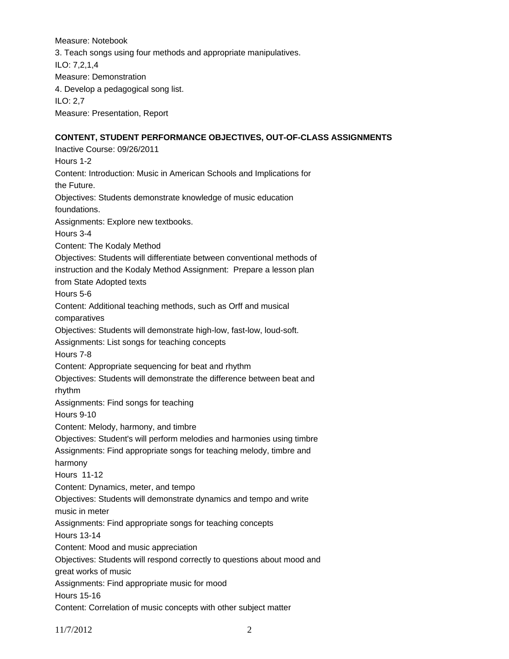Measure: Notebook 3. Teach songs using four methods and appropriate manipulatives. ILO: 7,2,1,4 Measure: Demonstration 4. Develop a pedagogical song list. ILO: 2,7 Measure: Presentation, Report **CONTENT, STUDENT PERFORMANCE OBJECTIVES, OUT-OF-CLASS ASSIGNMENTS** 

Inactive Course: 09/26/2011 Hours 1-2 Content: Introduction: Music in American Schools and Implications for the Future. Objectives: Students demonstrate knowledge of music education foundations. Assignments: Explore new textbooks. Hours 3-4 Content: The Kodaly Method Objectives: Students will differentiate between conventional methods of instruction and the Kodaly Method Assignment: Prepare a lesson plan from State Adopted texts Hours 5-6 Content: Additional teaching methods, such as Orff and musical comparatives Objectives: Students will demonstrate high-low, fast-low, loud-soft. Assignments: List songs for teaching concepts Hours 7-8 Content: Appropriate sequencing for beat and rhythm Objectives: Students will demonstrate the difference between beat and rhythm Assignments: Find songs for teaching Hours 9-10 Content: Melody, harmony, and timbre Objectives: Student's will perform melodies and harmonies using timbre Assignments: Find appropriate songs for teaching melody, timbre and harmony Hours 11-12 Content: Dynamics, meter, and tempo Objectives: Students will demonstrate dynamics and tempo and write music in meter Assignments: Find appropriate songs for teaching concepts Hours 13-14 Content: Mood and music appreciation Objectives: Students will respond correctly to questions about mood and great works of music Assignments: Find appropriate music for mood Hours 15-16 Content: Correlation of music concepts with other subject matter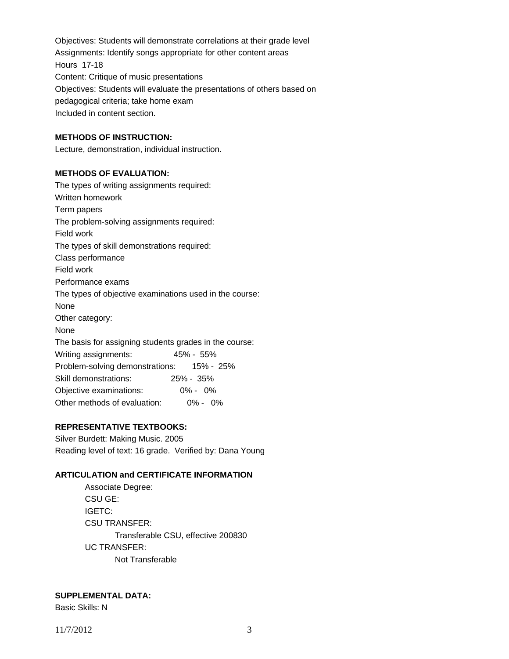Objectives: Students will demonstrate correlations at their grade level Assignments: Identify songs appropriate for other content areas Hours 17-18 Content: Critique of music presentations Objectives: Students will evaluate the presentations of others based on pedagogical criteria; take home exam Included in content section.

# **METHODS OF INSTRUCTION:**

Lecture, demonstration, individual instruction.

## **METHODS OF EVALUATION:**

The types of writing assignments required: Written homework Term papers The problem-solving assignments required: Field work The types of skill demonstrations required: Class performance Field work Performance exams The types of objective examinations used in the course: None Other category: None The basis for assigning students grades in the course: Writing assignments: 45% - 55% Problem-solving demonstrations: 15% - 25% Skill demonstrations: 25% - 35% Objective examinations: 0% - 0% Other methods of evaluation: 0% - 0%

### **REPRESENTATIVE TEXTBOOKS:**

Silver Burdett: Making Music. 2005 Reading level of text: 16 grade. Verified by: Dana Young

#### **ARTICULATION and CERTIFICATE INFORMATION**

 Associate Degree: CSU GE: IGETC: CSU TRANSFER: Transferable CSU, effective 200830 UC TRANSFER: Not Transferable

#### **SUPPLEMENTAL DATA:**

Basic Skills: N